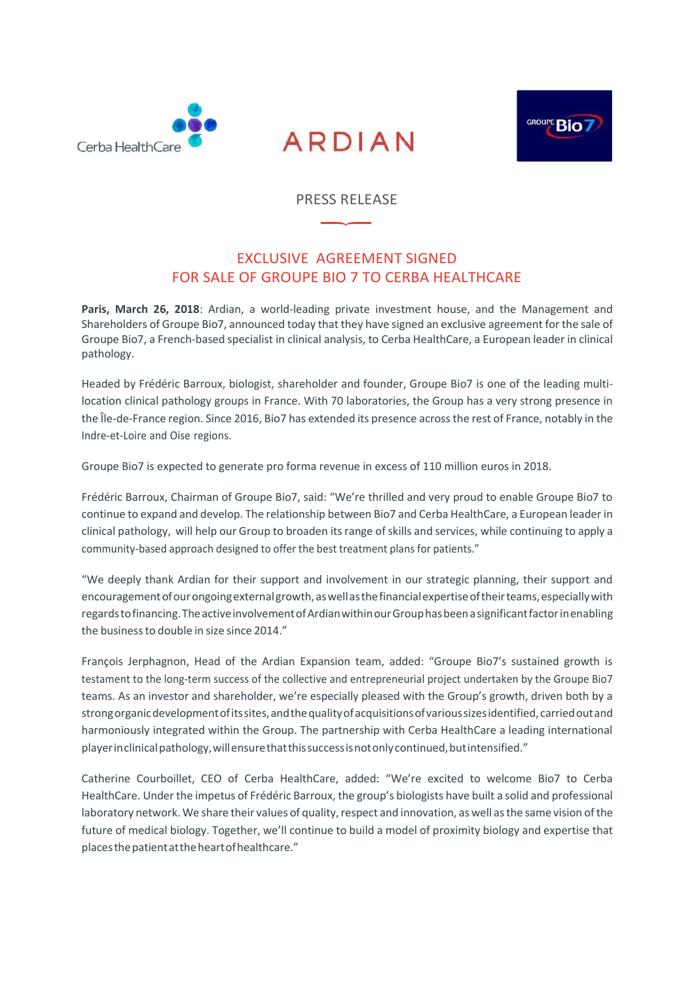





#### PRESS RELEASE

## EXCLUSIVE AGREEMENT SIGNED FOR SALE OF GROUPE BIO 7 TO CERBA HEALTHCARE

**Paris, March 26, 2018**: Ardian, a world-leading private investment house, and the Management and Shareholders of Groupe Bio7, announced today that they have signed an exclusive agreement for the sale of Groupe Bio7, a French-based specialist in clinical analysis, to Cerba HealthCare, a European leader in clinical pathology.

Headed by Frédéric Barroux, biologist, shareholder and founder, Groupe Bio7 is one of the leading multilocation clinical pathology groups in France. With 70 laboratories, the Group has a very strong presence in the Île-de-France region. Since 2016, Bio7 has extended its presence acrossthe rest of France, notably in the Indre-et-Loire and Oise regions.

Groupe Bio7 is expected to generate pro forma revenue in excess of 110 million euros in 2018.

Frédéric Barroux, Chairman of Groupe Bio7, said: "We're thrilled and very proud to enable Groupe Bio7 to continue to expand and develop. The relationship between Bio7 and Cerba HealthCare, a European leader in clinical pathology, will help our Group to broaden its range of skills and services, while continuing to apply a community-based approach designed to offer the best treatment plans for patients."

"We deeply thank Ardian for their support and involvement in our strategic planning, their support and encouragement of our ongoing external growth, as well as the financial expertise of their teams, especially with regards to financing. The active involvement of Ardian within our Group has been a significant factor in enabling the businessto double in size since 2014."

François Jerphagnon, Head of the Ardian Expansion team, added: "Groupe Bio7's sustained growth is testament to the long-term success of the collective and entrepreneurial project undertaken by the Groupe Bio7 teams. As an investor and shareholder, we're especially pleased with the Group's growth, driven both by a strongorganicdevelopmentofitssites,andthequalityofacquisitionsofvarioussizesidentified,carriedoutand harmoniously integrated within the Group. The partnership with Cerba HealthCare a leading international playerinclinicalpathology,willensurethatthissuccessisnotonlycontinued,butintensified."

Catherine Courboillet, CEO of Cerba HealthCare, added: "We're excited to welcome Bio7 to Cerba HealthCare. Under the impetus of Frédéric Barroux, the group's biologists have built a solid and professional laboratory network. We share their values of quality, respect and innovation, as well as the same vision of the future of medical biology. Together, we'll continue to build a model of proximity biology and expertise that placesthepatientattheheartofhealthcare."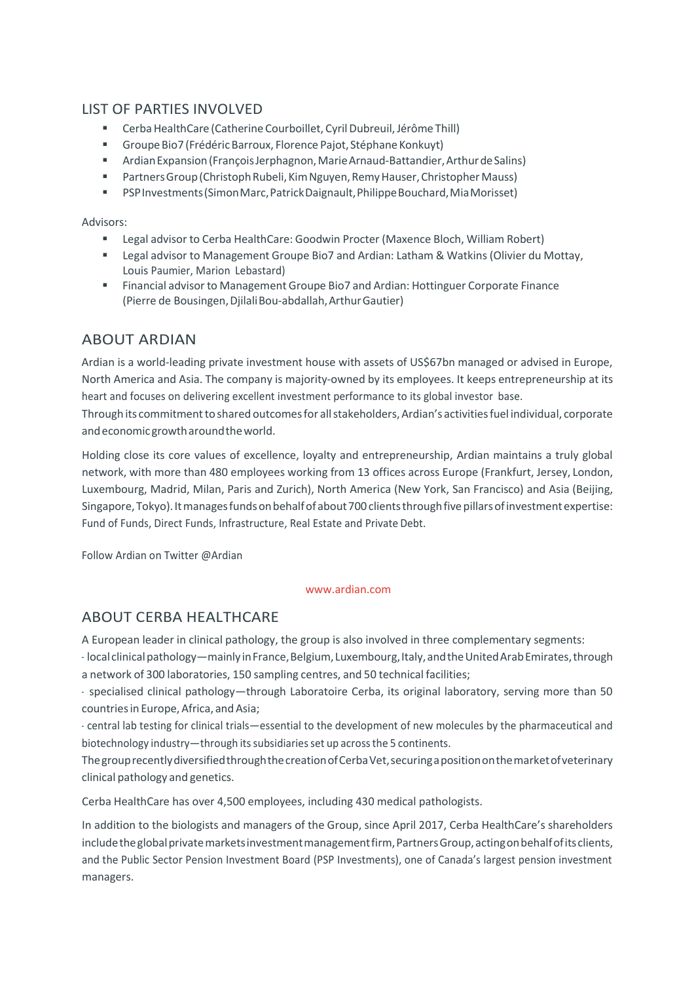## LIST OF PARTIES INVOLVED

- Cerba HealthCare (Catherine Courboillet, Cyril Dubreuil, Jérôme Thill)
- Groupe Bio7 (Frédéric Barroux, Florence Pajot, Stéphane Konkuyt)
- Ardian Expansion (Francois Jerphagnon, Marie Arnaud-Battandier, Arthur de Salins)
- **•** Partners Group (Christoph Rubeli, Kim Nguyen, Remy Hauser, Christopher Mauss)
- PSP Investments (Simon Marc, Patrick Daignault, Philippe Bouchard, Mia Morisset)

#### Advisors:

- Legal advisor to Cerba HealthCare: Goodwin Procter (Maxence Bloch, William Robert)
- Legal advisor to Management Groupe Bio7 and Ardian: Latham & Watkins (Olivier du Mottay, Louis Paumier, Marion Lebastard)
- Financial advisor to Management Groupe Bio7 and Ardian: Hottinguer Corporate Finance (Pierre de Bousingen,DjilaliBou-abdallah,ArthurGautier)

# ABOUT ARDIAN

Ardian is a world-leading private investment house with assets of US\$67bn managed or advised in Europe, North America and Asia. The company is majority-owned by its employees. It keeps entrepreneurship at its heart and focuses on delivering excellent investment performance to its global investor base.

Through its commitment to shared outcomes for all stakeholders, Ardian's activities fuel individual, corporate andeconomicgrowtharoundtheworld.

Holding close its core values of excellence, loyalty and entrepreneurship, Ardian maintains a truly global network, with more than 480 employees working from 13 offices across Europe (Frankfurt, Jersey, London, Luxembourg, Madrid, Milan, Paris and Zurich), North America (New York, San Francisco) and Asia (Beijing, Singapore, Tokyo). It manages funds on behalf of about 700 clients through five pillars of investment expertise: Fund of Funds, Direct Funds, Infrastructure, Real Estate and Private Debt.

Follow Ardian on Twitter @Ardian

#### [www.ardian.com](http://www.ardian.com/)

### ABOUT CERBA HEALTHCARE

A European leader in clinical pathology, the group is also involved in three complementary segments:

- local clinical pathology—mainly in France, Belgium, Luxembourg, Italy, and the United Arab Emirates, through a network of 300 laboratories, 150 sampling centres, and 50 technical facilities;

- specialised clinical pathology—through Laboratoire Cerba, its original laboratory, serving more than 50 countries in Europe, Africa, and Asia;

- central lab testing for clinical trials—essential to the development of new molecules by the pharmaceutical and biotechnology industry—through its subsidiaries set up across the 5 continents.

ThegrouprecentlydiversifiedthroughthecreationofCerbaVet,securingapositiononthemarketofveterinary clinical pathology and genetics.

Cerba HealthCare has over 4,500 employees, including 430 medical pathologists.

In addition to the biologists and managers of the Group, since April 2017, Cerba HealthCare's shareholders include the global private markets investment management firm, Partners Group, acting on behalf of its clients, and the Public Sector Pension Investment Board (PSP Investments), one of Canada's largest pension investment managers.